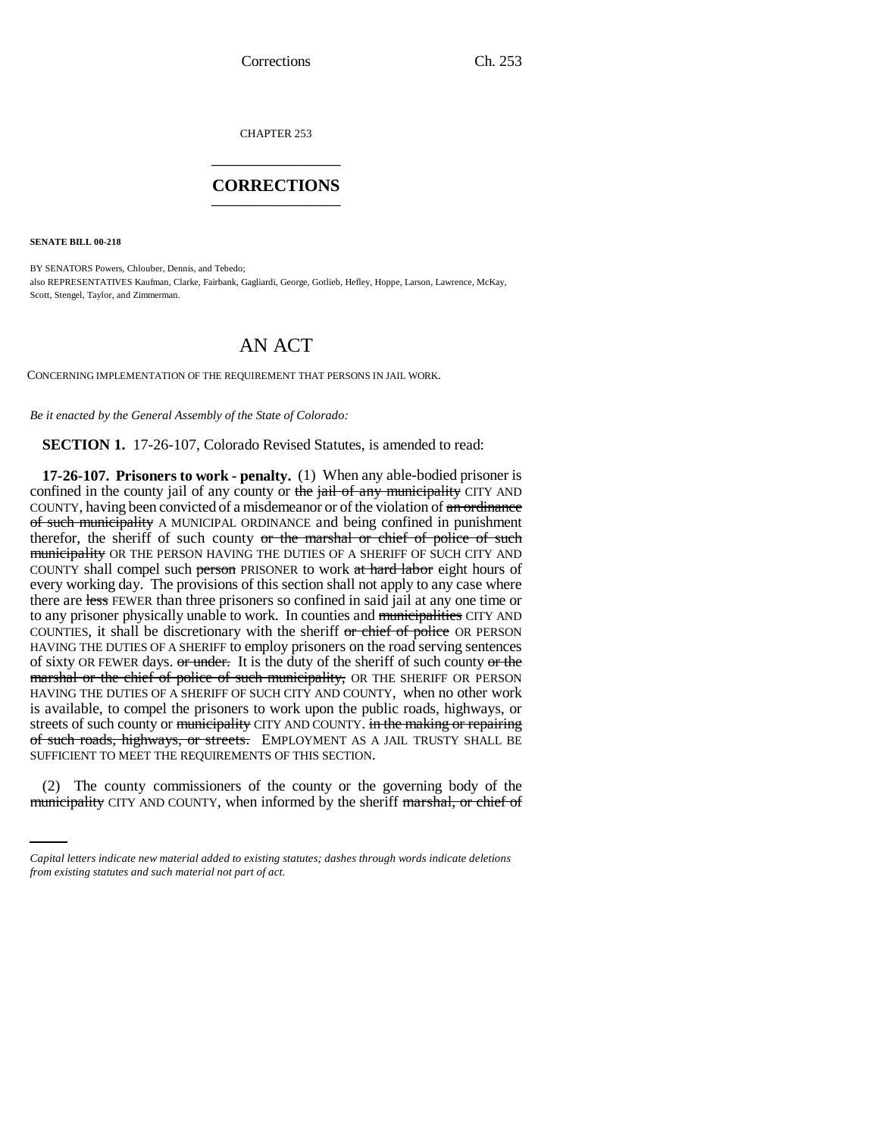CHAPTER 253 \_\_\_\_\_\_\_\_\_\_\_\_\_\_\_

## **CORRECTIONS** \_\_\_\_\_\_\_\_\_\_\_\_\_\_\_

**SENATE BILL 00-218** 

BY SENATORS Powers, Chlouber, Dennis, and Tebedo; also REPRESENTATIVES Kaufman, Clarke, Fairbank, Gagliardi, George, Gotlieb, Hefley, Hoppe, Larson, Lawrence, McKay, Scott, Stengel, Taylor, and Zimmerman.

## AN ACT

CONCERNING IMPLEMENTATION OF THE REQUIREMENT THAT PERSONS IN JAIL WORK.

*Be it enacted by the General Assembly of the State of Colorado:*

**SECTION 1.** 17-26-107, Colorado Revised Statutes, is amended to read:

**17-26-107. Prisoners to work - penalty.** (1) When any able-bodied prisoner is confined in the county jail of any county or the jail of any municipality CITY AND COUNTY, having been convicted of a misdemeanor or of the violation of an ordinance of such municipality A MUNICIPAL ORDINANCE and being confined in punishment therefor, the sheriff of such county or the marshal or chief of police of such municipality OR THE PERSON HAVING THE DUTIES OF A SHERIFF OF SUCH CITY AND COUNTY shall compel such person PRISONER to work at hard labor eight hours of every working day. The provisions of this section shall not apply to any case where there are less FEWER than three prisoners so confined in said jail at any one time or to any prisoner physically unable to work. In counties and municipalities CITY AND COUNTIES, it shall be discretionary with the sheriff or chief of police OR PERSON HAVING THE DUTIES OF A SHERIFF to employ prisoners on the road serving sentences of sixty OR FEWER days.  $or$  under. It is the duty of the sheriff of such county  $or$  the marshal or the chief of police of such municipality, OR THE SHERIFF OR PERSON HAVING THE DUTIES OF A SHERIFF OF SUCH CITY AND COUNTY, when no other work is available, to compel the prisoners to work upon the public roads, highways, or streets of such county or municipality CITY AND COUNTY. in the making or repairing of such roads, highways, or streets. EMPLOYMENT AS A JAIL TRUSTY SHALL BE SUFFICIENT TO MEET THE REQUIREMENTS OF THIS SECTION.

(2) The county commissioners of the county or the governing body of the municipality CITY AND COUNTY, when informed by the sheriff marshal, or chief of

*Capital letters indicate new material added to existing statutes; dashes through words indicate deletions from existing statutes and such material not part of act.*